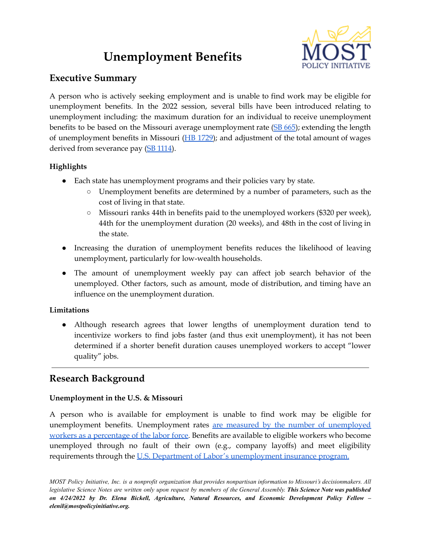# **Unemployment Benefits**



## **Executive Summary**

A person who is actively seeking employment and is unable to find work may be eligible for unemployment benefits. In the 2022 session, several bills have been introduced relating to unemployment including: the maximum duration for an individual to receive unemployment benefits to be based on the Missouri average unemployment rate (SB [665\)](https://www.senate.mo.gov/22info/BTS_Web/Bill.aspx?SessionType=R&BillID=71259778); extending the length of unemployment benefits in Missouri (HB [1729\)](https://house.mo.gov/Bill.aspx?bill=HB1729&year=2022&code=R); and adjustment of the total amount of wages derived from severance pay (SB [1114\)](https://www.senate.mo.gov/22info/BTS_Web/Bill.aspx?SessionType=R&BillID=74611023).

## **Highlights**

- Each state has unemployment programs and their policies vary by state.
	- Unemployment benefits are determined by a number of parameters, such as the cost of living in that state.
	- Missouri ranks 44th in benefits paid to the unemployed workers (\$320 per week), 44th for the unemployment duration (20 weeks), and 48th in the cost of living in the state.
- Increasing the duration of unemployment benefits reduces the likelihood of leaving unemployment, particularly for low-wealth households.
- The amount of unemployment weekly pay can affect job search behavior of the unemployed. Other factors, such as amount, mode of distribution, and timing have an influence on the unemployment duration.

## **Limitations**

• Although research agrees that lower lengths of unemployment duration tend to incentivize workers to find jobs faster (and thus exit unemployment), it has not been determined if a shorter benefit duration causes unemployed workers to accept "lower quality" jobs.

# **Research Background**

## **Unemployment in the U.S. & Missouri**

A person who is available for employment is unable to find work may be eligible for unemployment benefits. Unemployment rates are measured by the number of [unemployed](https://www.bls.gov/cps/cps_htgm.htm#:~:text=There%20is%20only%20one%20official,of%20the%20employed%20and%20unemployed).) workers as a [percentage](https://www.bls.gov/cps/cps_htgm.htm#:~:text=There%20is%20only%20one%20official,of%20the%20employed%20and%20unemployed).) of the labor force. Benefits are available to eligible workers who become unemployed through no fault of their own (e.g., company layoffs) and meet eligibility requirements through the U.S. Department of Labor's [unemployment](https://www.dol.gov/general/topic/unemployment-insurance) insurance program.

MOST Policy Initiative, Inc. is a nonprofit organization that provides nonpartisan information to Missouri's decisionmakers. All legislative Science Notes are written only upon request by members of the General Assembly. This Science Note was published *on 4/24/2022 by Dr. Elena Bickell, Agriculture, Natural Resources, and Economic Development Policy Fellow – elenil@mostpolicyinitiative.org.*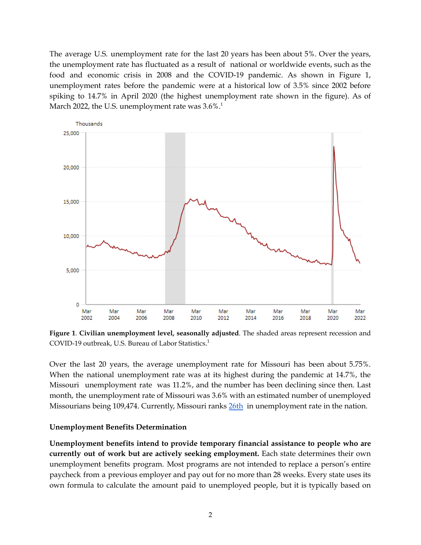The average U.S. unemployment rate for the last 20 years has been about 5%. Over the years, the unemployment rate has fluctuated as a result of national or worldwide events, such as the food and economic crisis in 2008 and the COVID-19 pandemic. As shown in Figure 1, unemployment rates before the pandemic were at a historical low of 3.5% since 2002 before spiking to 14.7% in April 2020 (the highest unemployment rate shown in the figure). As of March 2022, the U.S. unemployment rate was  $3.6\%.^1$ 



**Figure 1**. **Civilian unemployment level, seasonally adjusted**. The shaded areas represent recession and COVID-19 outbreak, U.S. Bureau of Labor Statistics. 1

Over the last 20 years, the average unemployment rate for Missouri has been about 5.75%. When the national unemployment rate was at its highest during the pandemic at 14.7%, the Missouri unemployment rate was 11.2%, and the number has been declining since then. Last month, the unemployment rate of Missouri was 3.6% with an estimated number of unemployed Missourians being 109,474. Currently, Missouri ranks [26th](https://www.bls.gov/web/laus/laumstrk.htm) in unemployment rate in the nation.

#### **Unemployment Benefits Determination**

**Unemployment benefits intend to provide temporary financial assistance to people who are currently out of work but are actively seeking employment.** Each state determines their own unemployment benefits program. Most programs are not intended to replace a person's entire paycheck from a previous employer and pay out for no more than 28 weeks. Every state uses its own formula to calculate the amount paid to unemployed people, but it is typically based on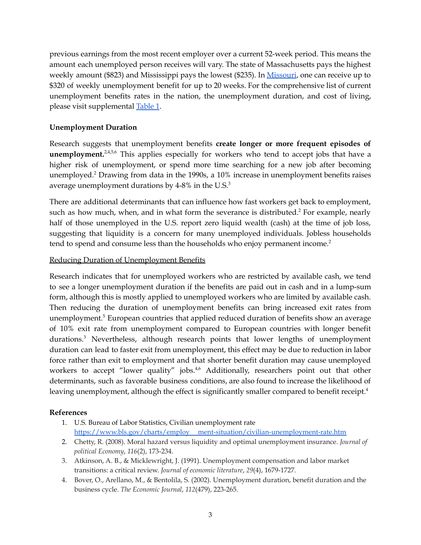previous earnings from the most recent employer over a current 52-week period. This means the amount each unemployed person receives will vary. The state of Massachusetts pays the highest weekly amount (\$823) and Mississippi pays the lowest (\$235). In [Missouri](https://labor.mo.gov/unemployed-workers), one can receive up to \$320 of weekly unemployment benefit for up to 20 weeks. For the comprehensive list of current unemployment benefits rates in the nation, the unemployment duration, and cost of living, please visit supplemental [Table](https://mostpolicyinitiative.org/wp-content/uploads/2022/04/Table-1.-Unemployment-Benefits-Rates.pdf) 1.

#### **Unemployment Duration**

Research suggests that unemployment benefits **create longer or more frequent episodes of unemployment.**<sup>2,4,5,6</sup> This applies especially for workers who tend to accept jobs that have a higher risk of unemployment, or spend more time searching for a new job after becoming unemployed. <sup>2</sup> Drawing from data in the 1990s, a 10% increase in unemployment benefits raises average unemployment durations by 4-8% in the U.S. $3$ 

There are additional determinants that can influence how fast workers get back to employment, such as how much, when, and in what form the severance is distributed.<sup>2</sup> For example, nearly half of those unemployed in the U.S. report zero liquid wealth (cash) at the time of job loss, suggesting that liquidity is a concern for many unemployed individuals. Jobless households tend to spend and consume less than the households who enjoy permanent income. 2

#### Reducing Duration of Unemployment Benefits

Research indicates that for unemployed workers who are restricted by available cash, we tend to see a longer unemployment duration if the benefits are paid out in cash and in a lump-sum form, although this is mostly applied to unemployed workers who are limited by available cash. Then reducing the duration of unemployment benefits can bring increased exit rates from unemployment. <sup>5</sup> European countries that applied reduced duration of benefits show an average of 10% exit rate from unemployment compared to European countries with longer benefit durations. <sup>3</sup> Nevertheless, although research points that lower lengths of unemployment duration can lead to faster exit from unemployment, this effect may be due to reduction in labor force rather than exit to employment and that shorter benefit duration may cause unemployed workers to accept "lower quality" jobs.<sup>4,6</sup> Additionally, researchers point out that other determinants, such as favorable business conditions, are also found to increase the likelihood of leaving unemployment, although the effect is significantly smaller compared to benefit receipt.<sup>4</sup>

#### **References**

- 1. U.S. Bureau of Labor Statistics, Civilian unemployment rate https://www.bls.gov/charts/employ [ment-situation/civilian-unemployment-rate.htm](https://www.bls.gov/charts/employment-situation/civilian-unemployment-rate.htm)
- 2. Chetty, R. (2008). Moral hazard versus liquidity and optimal unemployment insurance. *Journal of political Economy*, *116*(2), 173-234.
- 3. Atkinson, A. B., & Micklewright, J. (1991). Unemployment compensation and labor market transitions: a critical review. *Journal of economic literature*, *29*(4), 1679-1727.
- 4. Bover, O., Arellano, M., & Bentolila, S. (2002). Unemployment duration, benefit duration and the business cycle. *The Economic Journal*, *112*(479), 223-265.